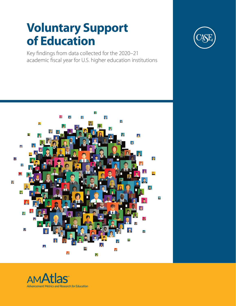# **Voluntary Support of Education**

Key findings from data collected for the 2020–21 academic fiscal year for U.S. higher education institutions





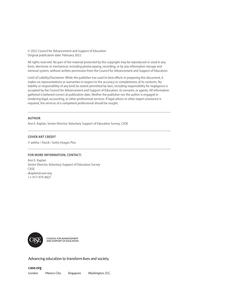© 2022 Council for Advancement and Support of Education Original publication date: February 2022

All rights reserved. No part of the material protected by this copyright may be reproduced or used in any form, electronic or mechanical, including photocopying, recording, or by any information storage and retrieval system, without written permission from the Council for Advancement and Support of Education.

Limit of Liability/Disclaimer: While the publisher has used its best efforts in preparing this document, it makes no representations or warranties in respect to the accuracy or completeness of its contents. No liability or responsibility of any kind (to extent permitted by law), including responsibility for negligence is accepted by the Council for Advancement and Support of Education, its servants, or agents. All information gathered is believed correct at publication date. Neither the publisher nor the author is engaged in rendering legal, accounting, or other professional services. If legal advice or other expert assistance is required, the services of a competent professional should be sought.

#### **AUTHOR**

Ann E. Kaplan, Senior Director, Voluntary Support of Education Survey, CASE

#### **COVER ART CREDIT**

© aelitta / iStock / Getty Images Plus

#### **FOR MORE INFORMATION, CONTACT:**

Ann E. Kaplan Senior Director, Voluntary Support of Education Survey CASE akaplan@case.org +1-917-979-4827



**COUNCIL FOR ADVANCEMENT AND SUPPORT OF EDUCATION**

Advancing education to transform lives and society.

**case.org**

London Mexico City Singapore Washington, D.C.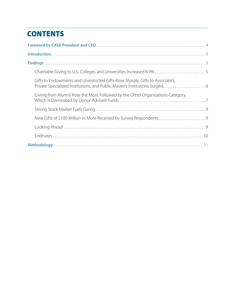# **CONTENTS**

| Gifts to Endowments and Unrestricted Gifts Rose Sharply. Gifts to Associate's,  |  |
|---------------------------------------------------------------------------------|--|
| Giving from Alumni Rose the Most, Followed by the Other Organizations Category, |  |
|                                                                                 |  |
| Nine Gifts of \$100 Million or More Received by Survey Respondents9             |  |
|                                                                                 |  |
|                                                                                 |  |
|                                                                                 |  |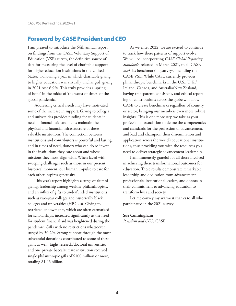# Foreword by CASE President and CEO

I am pleased to introduce the 64th annual report on findings from the CASE Voluntary Support of Education (VSE) survey, the definitive source of data for measuring the level of charitable support for higher education institutions in the United States. Following a year in which charitable giving to higher education was virtually unchanged, giving in 2021 rose 6.9%. This truly provides a 'spring of hope' in the midst of 'the worst of times' of the global pandemic.

Addressing critical needs may have motivated some of the increase in support. Giving to colleges and universities provides funding for students in need of financial aid and helps maintain the physical and financial infrastructure of these valuable institutions. The connection between institutions and contributors is powerful and lasting, and in times of need, donors who can do so invest in the institutions they care about and whose missions they most align with. When faced with sweeping challenges such as those in our present historical moment, our human impulse to care for each other inspires generosity.

This year's report highlights a surge of alumni giving, leadership among wealthy philanthropists, and an influx of gifts to underfunded institutions such as two-year colleges and historically black colleges and universities (HBCUs). Giving to restricted endowments, which are often earmarked for scholarships, increased significantly as the need for student financial aid was heightened during the pandemic. Gifts with no restrictions whatsoever surged by 30.2%. Strong support through the most substantial donations contributed to some of these gains as well. Eight research/doctoral universities and one private baccalaureate institution received single philanthropic gifts of \$100 million or more, totaling \$1.46 billion.

As we enter 2022, we are excited to continue to track how these patterns of support evolve. We will be incorporating *CASE Global Reporting Standards*, released in March 2021, to all CASE AMAtlas benchmarking surveys, including the CASE VSE. While CASE currently provides philanthropic benchmarks in the U.S., U.K./ Ireland, Canada, and Australia/New Zealand, having transparent, consistent, and ethical reporting of contributions across the globe will allow CASE to create benchmarks regardless of country or sector, bringing our members even more robust insights. This is one more step we take as your professional association to define the competencies and standards for the profession of advancement, and lead and champion their dissemination and application across the world's educational institutions, thus providing you with the resources you need to deliver strategic advancement leadership.

I am immensely grateful for all those involved in achieving these transformational outcomes for education. These results demonstrate remarkable leadership and dedication from advancement professionals, institutional leaders, and donors in their commitment to advancing education to transform lives and society.

Let me convey my warmest thanks to all who participated in the 2021 survey.

#### **Sue Cunningham**

*President and CEO,* CASE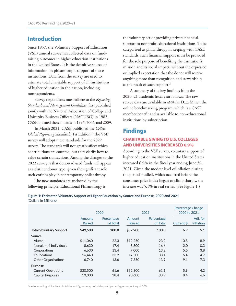# Introduction

Since 1957, the Voluntary Support of Education (VSE) annual survey has collected data on fundraising outcomes in higher education institutions in the United States. It is the definitive source of information on philanthropic support of those institutions. Data from the survey are used to estimate total charitable support of all institutions of higher education in the nation, including nonrespondents.

Survey respondents must adhere to the *Reporting Standards and Management Guidelines*, first published jointly with the National Association of College and University Business Officers (NACUBO) in 1982. CASE updated the standards in 1996, 2004, and 2009.

In March 2021, CASE published the *CASE*  Global Reporting Standards, 1st Edition.<sup>1</sup> The VSE survey will adopt these standards for the 2022 survey. The standards will not greatly affect which contributions are counted, but they clarify how to value certain transactions. Among the changes to the 2022 survey is that donor-advised funds will appear as a distinct donor type, given the significant role such entities play in contemporary philanthropy.

The new standards are anchored by the following principle: Educational Philanthropy is

the voluntary act of providing private financial support to nonprofit educational institutions. To be categorized as philanthropy in keeping with CASE standards, such financial support must be provided for the sole purpose of benefiting the institution's mission and its social impact, without the expressed or implied expectation that the donor will receive anything more than recognition and stewardship as the result of such support.2

A summary of the key findings from the 2020–21 academic fiscal year follows. The raw survey data are available in AMAtlas Data Miner, the online benchmarking program, which is a CASE member benefit and is available to non-educational institutions by subscription.

## Findings

### **CHARITABLE GIVING TO U.S. COLLEGES AND UNIVERSITIES INCREASED 6.9%**

According to the VSE survey, voluntary support of higher education institutions in the United States increased 6.9% in the fiscal year ending June 30, 2021. Given the modest level of inflation during the period studied, which occurred before the consumer price index began to climb sharply, the increase was 5.1% in real terms. (See Figure 1.)

**Figure 1: Estimated Voluntary Support of Higher Education by Source and Purpose, 2020 and 2021** (Dollars in Millions)

|                                | 2020          |            | 2021          |            | Percentage Change<br>2020 to 2021 |                  |
|--------------------------------|---------------|------------|---------------|------------|-----------------------------------|------------------|
|                                | Amount        | Percentage | Amount        | Percentage |                                   | Adj. for         |
|                                | <b>Raised</b> | of Total   | <b>Raised</b> | of Total   | Current \$                        | <b>Inflation</b> |
| <b>Total Voluntary Support</b> | \$49,500      | 100.0      | \$52,900      | 100.0      | 6.9                               | 5.1              |
| Source                         |               |            |               |            |                                   |                  |
| Alumni                         | \$11,060      | 22.3       | \$12,250      | 23.2       | 10.8                              | 8.9              |
| Nonalumni Individuals          | 8.630         | 17.4       | 8,800         | 16.6       | 2.0                               | 0.3              |
| Corporations                   | 6.630         | 13.4       | 7,000         | 13.2       | 5.6                               | 3.8              |
| <b>Foundations</b>             | 16.440        | 33.2       | 17.500        | 33.1       | 6.4                               | 4.7              |
| <b>Other Organizations</b>     | 6.740         | 13.6       | 7.350         | 13.9       | 9.1                               | 7.3              |
| <b>Purpose</b>                 |               |            |               |            |                                   |                  |
| <b>Current Operations</b>      | \$30,500      | 61.6       | \$32,300      | 61.1       | 5.9                               | 4.2              |
| <b>Capital Purposes</b>        | 19,000        | 38.4       | 20,600        | 38.9       | 8.4                               | 6.6              |

Due to rounding, dollar totals in tables and figures may not add up and percentages may not equal 100.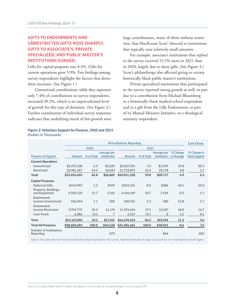### **GIFTS TO ENDOWMENTS AND UNRESTRICTED GIFTS ROSE SHARPLY. GIFTS TO ASSOCIATE'S, PRIVATE SPECIALIZED, AND PUBLIC MASTER'S INSTITUTIONS SURGED.**

Gifts for capital purposes rose 8.4%. Gifts for current operations grew 5.9%. Two findings among survey respondents highlight the factors that drove these increases. (See Figure 1.)

Unrestricted contributions, while they represent only 7.4% of contributions to survey respondents, increased 30.2%, which is an unprecedented level of growth for this type of donation. (See Figure 2.) Further examination of individual survey responses indicates that underlying much of this growth were large contributions, many of them without restriction, that MacKenzie Scott<sup>3</sup> directed to institutions that typically raise relatively small amounts.

For example, associate's institutions that replied to the survey received 52.5% more in 2021 than in 2020, largely due to those gifts. (See Figure 3.) Scott's philanthropy also affected giving to certain historically black public master's institutions.

Private specialized institutions that participated in the survey reported strong growth as well, in part due to a contribution from Michael Bloomberg to a historically black medical school respondent and to a gift from the Lilly Endowment, as part of its Mutual Ministry Initiative, to a theological seminary respondent.

|                                       | <b>All Institutions Reporting</b> |            |                            |              |            | <b>Core Group</b>                 |                        |                                     |
|---------------------------------------|-----------------------------------|------------|----------------------------|--------------|------------|-----------------------------------|------------------------|-------------------------------------|
|                                       |                                   | 2020       |                            | 2021         |            |                                   |                        |                                     |
| Purpose of Support                    | Amount                            | % of Total | Average per<br>Institution | Amount       | % of Total | Average per<br><b>Institution</b> | % Change<br>in Average | % Change in<br><b>Total Support</b> |
| <b>Current Operations</b>             |                                   |            |                            |              |            |                                   |                        |                                     |
| Unrestricted                          | \$2,475,238                       | 6.4        | \$2,835                    | \$3,057,355  | 7.4        | \$3,539                           | 24.8                   | 30.2                                |
| Restricted                            | 20,981,367                        | 54.4       | 24,034                     | 21,753,873   | 52.4       | 25,178                            | 4.8                    | 3.7                                 |
| Total                                 | \$23,456,605                      | 60.8       | \$26,869                   | \$24,811,228 | 59.8       | \$28,717                          | 6.9                    | 6.3                                 |
| <b>Capital Purposes</b>               |                                   |            |                            |              |            |                                   |                        |                                     |
| <b>Deferred Gifts</b>                 | \$443,995                         | 1.2        | \$509                      | \$333.331    | 0.8        | \$386                             | $-24.1$                | $-25.0$                             |
| Property, Buildings,<br>and Equipment | 4,505,120                         | 11.7       | 5,161                      | 4,436,169    | 10.7       | 5,134                             | $-0.5$                 | $-1.1$                              |
| Endowment:<br>Income Unrestricted     | 436,814                           | 1.1        | 500                        | 500,761      | 1.2        | 580                               | 15.8                   | $-1.7$                              |
| Endowment:                            |                                   |            |                            |              |            |                                   |                        |                                     |
| <b>Income Restricted</b>              | 9,754,775                         | 25.3       | 11,174                     | 11,393,656   | 27.5       | 13,187                            | 18.0                   | 16.7                                |
| Loan Funds                            | 6,386                             | < 0.1      | 7                          | 6,517        | < 0.1      | 8                                 | 3.1                    | 0.1                                 |
| Total                                 | \$15,147,090                      | 39.2       | \$17,351                   | \$16,670,433 | 40.2       | \$19,294                          | 11.2                   | 9.6                                 |
| <b>Total All Purposes</b>             | \$38,603,694                      | 100.0      | \$44,220                   | \$41,481,661 | 100.0      | \$48,011                          | 8.6                    | 7.6                                 |
| Number of Institutions<br>Reporting   |                                   |            | 873                        |              |            | 864                               |                        | 822                                 |

**Figure 2: Voluntary Support by Purpose, 2020 and 2021** (Dollars in Thousands)

Data in this table only refer to those institutions that responded to the survey. National estimates on page 5 account for non-respondents and are higher.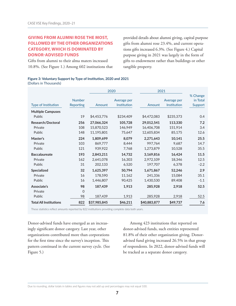#### **GIVING FROM ALUMNI ROSE THE MOST, FOLLOWED BY THE OTHER ORGANIZATIONS CATEGORY, WHICH IS DOMINATED BY DONOR-ADVISED FUNDS**

Gifts from alumni to their alma maters increased 10.8%. (See Figure 1.) Among 602 institutions that

provided details about alumni giving, capital purpose gifts from alumni rose 23.4%, and current operations gifts increased 6.3%. (See Figure 4.) Capital purpose giving in 2021 was largely in the form of gifts to endowment rather than buildings or other tangible property.

#### **Figure 3: Voluntary Support by Type of Institution, 2020 and 2021** (Dollars in Thousands)

|                               |                            | 2020         |                            | 2021         |                            |                                 |
|-------------------------------|----------------------------|--------------|----------------------------|--------------|----------------------------|---------------------------------|
| <b>Type of Institution</b>    | <b>Number</b><br>Reporting | Amount       | Average per<br>Institution | Amount       | Average per<br>Institution | % Change<br>in Total<br>Support |
| <b>Multiple Campuses</b>      |                            |              |                            |              |                            |                                 |
| Public                        | 19                         | \$4,453,776  | \$234,409                  | \$4,472,083  | \$235,373                  | 0.4                             |
| Research/Doctoral             | 256                        | 27,066,324   | 105,728                    | 29,012,541   | 113,330                    | 7.2                             |
| Private                       | 108                        | 15,870,523   | 146,949                    | 16,406,708   | 151,914                    | 3.4                             |
| Public                        | 148                        | 11,195,801   | 75,647                     | 12,605,834   | 85,175                     | 12.6                            |
| Master's                      | 224                        | 1,809,699    | 8,079                      | 2,271,643    | 10,141                     | 25.5                            |
| Private                       | 103                        | 869,777      | 8,444                      | 997,764      | 9,687                      | 14.7                            |
| Public                        | 121                        | 939,922      | 7,768                      | 1,273,879    | 10,528                     | 35.5                            |
| <b>Baccalaureate</b>          | 193                        | 2,843,211    | 14,732                     | 3,169,816    | 16,424                     | 11.5                            |
| Private                       | 162                        | 2,641,078    | 16,303                     | 2,972,109    | 18,346                     | 12.5                            |
| Public                        | 31                         | 202,133      | 6,520                      | 197,707      | 6.378                      | $-2.2$                          |
| Specialized                   | 32                         | 1,625,397    | 50,794                     | 1,671,867    | 52,246                     | 2.9                             |
| Private                       | 16                         | 178,590      | 11,162                     | 241,336      | 15,084                     | 35.1                            |
| Public                        | 16                         | 1,446,807    | 90,425                     | 1,430,530    | 89,408                     | $-1.1$                          |
| Associate's                   | 98                         | 187,439      | 1,913                      | 285,928      | 2,918                      | 52.5                            |
| Private                       | 0                          |              |                            |              |                            |                                 |
| Public                        | 98                         | 187,439      | 1,913                      | 285,928      | 2,918                      | 52.5                            |
| <b>Total All Institutions</b> | 822                        | \$37,985,845 | \$46,211                   | \$40,883,877 | \$49,737                   | 7.6                             |

These statistics reflect amounts reported by 822 institutions providing complete data both years.

Donor-advised funds have emerged as an increasingly significant donor category. Last year, other organizations contributed more than corporations for the first time since the survey's inception. This pattern continued in the current survey cycle. (See Figure 5.)

Among 423 institutions that reported on donor-advised funds, such entities represented 81.8% of their other organization giving. Donoradvised fund giving increased 26.5% in that group of respondents. In 2022, donor-advised funds will be tracked as a separate donor category.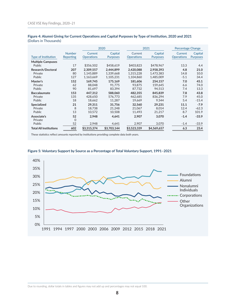|                               |                            | 2020                         |                            |                              | 2021                       | Percentage Change            |                            |
|-------------------------------|----------------------------|------------------------------|----------------------------|------------------------------|----------------------------|------------------------------|----------------------------|
| <b>Type of Institution</b>    | <b>Number</b><br>Reporting | Current<br><b>Operations</b> | Capital<br><b>Purposes</b> | Current<br><b>Operations</b> | Capital<br><b>Purposes</b> | Current<br><b>Operations</b> | Capital<br><b>Purposes</b> |
| <b>Multiple Campuses</b>      |                            |                              |                            |                              |                            |                              |                            |
| Public                        | 17                         | \$356,502                    | \$458,619                  | \$403,823                    | \$478,967                  | 13.3                         | 4.4                        |
| Research/Doctoral             | 207                        | 2.309.557                    | 2.444.899                  | 2.420.088                    | 2.958.393                  | 4.8                          | 21.0                       |
| Private                       | 80                         | 1,145,889                    | 1,339,668                  | 1,315,228                    | 1,473,383                  | 14.8                         | 10.0                       |
| Public                        | 127                        | 1,163,669                    | 1,105,231                  | 1,104,860                    | 1,485,009                  | $-5.1$                       | 34.4                       |
| Master's                      | 152                        | 169.745                      | 175.169                    | 181.606                      | 254.157                    | 7.0                          | 45.1                       |
| Private                       | 62                         | 88,048                       | 91.775                     | 93.875                       | 159.645                    | 6.6                          | 74.0                       |
| Public                        | 90                         | 81,697                       | 83,394                     | 87,732                       | 94.513                     | 7.4                          | 13.3                       |
| <b>Baccalaureate</b>          | 153                        | 447,312                      | 588,060                    | 482.355                      | 845,839                    | 7.8                          | 43.8                       |
| Private                       | 135                        | 428.650                      | 576,773                    | 462.685                      | 836.294                    | 7.9                          | 45.0                       |
| Public                        | 18                         | 18,662                       | 11,287                     | 19,669                       | 9.544                      | 5.4                          | $-15.4$                    |
| <b>Specialized</b>            | 21                         | 29,311                       | 31,756                     | 32,560                       | 29,231                     | 11.1                         | $-7.9$                     |
| Private                       | 8                          | 18,738                       | 21.248                     | 21.067                       | 8.014                      | 12.4                         | $-62.3$                    |
| <b>Public</b>                 | 13                         | 10,572                       | 10,508                     | 11.493                       | 21,217                     | 8.7                          | 101.9                      |
| Associate's                   | 52                         | 2,948                        | 4,641                      | 2,907                        | 3,070                      | $-1.4$                       | $-33.9$                    |
| Private                       | $\Omega$                   |                              |                            |                              |                            |                              |                            |
| Public                        | 52                         | 2,948                        | 4,641                      | 2,907                        | 3,070                      | $-1.4$                       | $-33.9$                    |
| <b>Total All Institutions</b> | 602                        | \$3,315,374                  | \$3,703,144                | \$3,523,339                  | \$4,569,657                | 6.3                          | 23.4                       |

#### **Figure 4: Alumni Giving for Current Operations and Capital Purposes by Type of Institution, 2020 and 2021** (Dollars in Thousands)

These statistics reflect amounts reported by institutions providing complete data both years.



#### **Figure 5: Voluntary Support by Source as a Percentage of Total Voluntary Support, 1991–2021**

Due to rounding, dollar totals in tables and figures may not add up and percentages may not equal 100.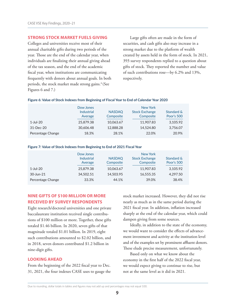#### **STRONG STOCK MARKET FUELS GIVING**

Colleges and universities receive most of their annual charitable gifts during two periods of the year. Those are the end of the calendar year, when individuals are finalizing their annual giving ahead of the tax season, and the end of the academic fiscal year, when institutions are communicating frequently with donors about annual goals. In both periods, the stock market made strong gains.<sup>4</sup> (See Figures 6 and 7.)

Large gifts often are made in the form of securities, and cash gifts also may increase in a strong market due to the platform of wealth created by assets held in the form of stock. In 2021, 393 survey respondents replied to a question about gifts of stock. They reported the number and value of such contributions rose—by 6.2% and 13%, respectively.

#### **Figure 6: Value of Stock Indexes from Beginning of Fiscal Year to End of Calendar Year 2020**

|                   | Dow Jones  |               |                       |            |  |
|-------------------|------------|---------------|-----------------------|------------|--|
|                   | Industrial | <b>NASDAQ</b> | <b>Stock Exchange</b> | Standard & |  |
|                   | Average    | Composite     | Composite             | Poor's 500 |  |
| $1$ -Jul-20       | 25,879.38  | 10,063.67     | 11,907.83             | 3,105.92   |  |
| $31 - Dec-20$     | 30,606.48  | 12,888.28     | 14.524.80             | 3,756.07   |  |
| Percentage Change | 18.3%      | 28.1%         | 22.0%                 | 20.9%      |  |

#### **Figure 7: Value of Stock Indexes from Beginning to End of 2021 Fiscal Year**

|                   | Dow Jones         |               | New York              |            |
|-------------------|-------------------|---------------|-----------------------|------------|
|                   | <b>Industrial</b> | <b>NASDAQ</b> | <b>Stock Exchange</b> | Standard & |
|                   | Average           | Composite     | Composite             | Poor's 500 |
| $1$ -Jul-20       | 25,879.38         | 10,063.67     | 11,907.83             | 3,105.92   |
| 30-Jun-21         | 34,502.51         | 14,503.95     | 16.555.35             | 4,297.50   |
| Percentage Change | 33.3%             | 44.1%         | 39.0%                 | 38.4%      |

#### **NINE GIFTS OF \$100 MILLION OR MORE RECEIVED BY SURVEY RESPONDENTS**

Eight research/doctoral universities and one private baccalaureate institution received single contributions of \$100 million or more. Together, these gifts totaled \$1.46 billion. In 2020, seven gifts of that magnitude totaled \$1.01 billion. In 2019, eight such contributions amounted to \$2.02 billion, and in 2018, seven donors contributed \$1.2 billion in nine-digit gifts.

#### **LOOKING AHEAD**

From the beginning of the 2022 fiscal year to Dec. 31, 2021, the four indexes CASE uses to gauge the stock market increased. However, they did not rise nearly as much as in the same period during the 2021 fiscal year. In addition, inflation increased sharply at the end of the calendar year, which could dampen giving from some sources.

Ideally, in addition to the state of the economy, we would want to consider the effects of advancement investment and activity at the institution level and of the examples set by prominent affluent donors. These elude precise measurement, unfortunately.

Based only on what we know about the economy in the first half of the 2022 fiscal year, we would expect giving to continue to rise, but not at the same level as it did in 2021.

Due to rounding, dollar totals in tables and figures may not add up and percentages may not equal 100.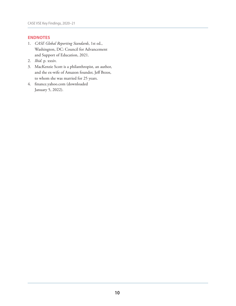#### **ENDNOTES**

- 1. *CASE Global Reporting Standards*, 1st ed., Washington, DC: Council for Advancement and Support of Education, 2021.
- 2. *Ibid*. p. xxxiv.
- 3. MacKenzie Scott is a philanthropist, an author, and the ex-wife of Amazon founder, Jeff Bezos, to whom she was married for 25 years.
- 4. finance.yahoo.com (downloaded January 5, 2022).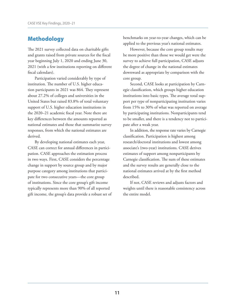# Methodology

The 2021 survey collected data on charitable gifts and grants raised from private sources for the fiscal year beginning July 1, 2020 and ending June 30, 2021 (with a few institutions reporting on different fiscal calendars).

Participation varied considerably by type of institution. The number of U.S. higher education participants in 2021 was 864. They represent about 27.2% of colleges and universities in the United States but raised 83.8% of total voluntary support of U.S. higher education institutions in the 2020–21 academic fiscal year. Note there are key differences between the amounts reported as national estimates and those that summarize survey responses, from which the national estimates are derived.

By developing national estimates each year, CASE can correct for annual differences in participation. CASE approaches the estimation process in two ways. First, CASE considers the percentage change in support by source group and by major purpose category among institutions that participate for two consecutive years—the core group of institutions. Since the core group's gift income typically represents more than 90% of all reported gift income, the group's data provide a robust set of benchmarks on year-to-year changes, which can be applied to the previous year's national estimates.

However, because the core group results may be more positive than those we would get were the survey to achieve full participation, CASE adjusts the degree of change in the national estimates downward as appropriate by comparison with the core group.

Second, CASE looks at participation by Carnegie classification, which groups higher education institutions into basic types. The average total support per type of nonparticipating institution varies from 15% to 30% of what was reported on average by participating institutions. Nonparticipants tend to be smaller, and there is a tendency not to participate after a weak year.

In addition, the response rate varies by Carnegie classification. Participation is highest among research/doctoral institutions and lowest among associate's (two-year) institutions. CASE derives estimates of support among nonparticipants by Carnegie classification. The sum of these estimates and the survey results are generally close to the national estimates arrived at by the first method described.

If not, CASE reviews and adjusts factors and weights until there is reasonable consistency across the entire model.